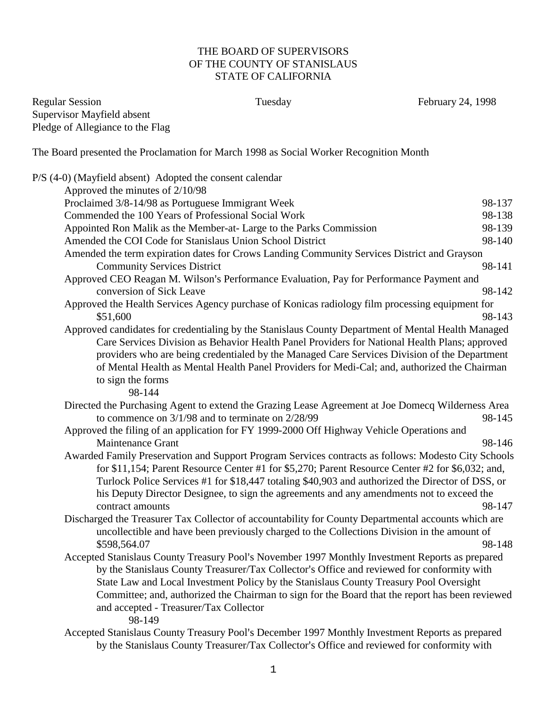## THE BOARD OF SUPERVISORS OF THE COUNTY OF STANISLAUS STATE OF CALIFORNIA

Regular Session Tuesday February 24, 1998 Supervisor Mayfield absent Pledge of Allegiance to the Flag

The Board presented the Proclamation for March 1998 as Social Worker Recognition Month

|  | P/S (4-0) (Mayfield absent) Adopted the consent calendar                                            |        |
|--|-----------------------------------------------------------------------------------------------------|--------|
|  | Approved the minutes of 2/10/98                                                                     |        |
|  | Proclaimed 3/8-14/98 as Portuguese Immigrant Week                                                   | 98-137 |
|  | Commended the 100 Years of Professional Social Work                                                 | 98-138 |
|  | Appointed Ron Malik as the Member-at- Large to the Parks Commission                                 | 98-139 |
|  | Amended the COI Code for Stanislaus Union School District                                           | 98-140 |
|  | Amended the term expiration dates for Crows Landing Community Services District and Grayson         |        |
|  | <b>Community Services District</b>                                                                  | 98-141 |
|  | Approved CEO Reagan M. Wilson's Performance Evaluation, Pay for Performance Payment and             |        |
|  | conversion of Sick Leave                                                                            | 98-142 |
|  | Approved the Health Services Agency purchase of Konicas radiology film processing equipment for     |        |
|  | \$51,600                                                                                            | 98-143 |
|  | Approved candidates for credentialing by the Stanislaus County Department of Mental Health Managed  |        |
|  | Care Services Division as Behavior Health Panel Providers for National Health Plans; approved       |        |
|  | providers who are being credentialed by the Managed Care Services Division of the Department        |        |
|  | of Mental Health as Mental Health Panel Providers for Medi-Cal; and, authorized the Chairman        |        |
|  | to sign the forms                                                                                   |        |
|  | 98-144                                                                                              |        |
|  | Directed the Purchasing Agent to extend the Grazing Lease Agreement at Joe Domecq Wilderness Area   |        |
|  | to commence on $3/1/98$ and to terminate on $2/28/99$                                               | 98-145 |
|  | Approved the filing of an application for FY 1999-2000 Off Highway Vehicle Operations and           |        |
|  | <b>Maintenance Grant</b>                                                                            | 98-146 |
|  | Awarded Family Preservation and Support Program Services contracts as follows: Modesto City Schools |        |
|  | for \$11,154; Parent Resource Center #1 for \$5,270; Parent Resource Center #2 for \$6,032; and,    |        |
|  | Turlock Police Services #1 for \$18,447 totaling \$40,903 and authorized the Director of DSS, or    |        |
|  | his Deputy Director Designee, to sign the agreements and any amendments not to exceed the           |        |
|  | contract amounts                                                                                    | 98-147 |
|  | Discharged the Treasurer Tax Collector of accountability for County Departmental accounts which are |        |
|  | uncollectible and have been previously charged to the Collections Division in the amount of         |        |
|  | \$598,564.07                                                                                        | 98-148 |
|  | Accepted Stanislaus County Treasury Pool's November 1997 Monthly Investment Reports as prepared     |        |
|  | by the Stanislaus County Treasurer/Tax Collector's Office and reviewed for conformity with          |        |
|  | State Law and Local Investment Policy by the Stanislaus County Treasury Pool Oversight              |        |
|  | Committee; and, authorized the Chairman to sign for the Board that the report has been reviewed     |        |
|  | and accepted - Treasurer/Tax Collector<br>98-149                                                    |        |
|  | Accepted Stanislave County Treasury Pool's December 1007 Monthly Investment Reports as prepared     |        |

Accepted Stanislaus County Treasury Pool's December 1997 Monthly Investment Reports as prepared by the Stanislaus County Treasurer/Tax Collector's Office and reviewed for conformity with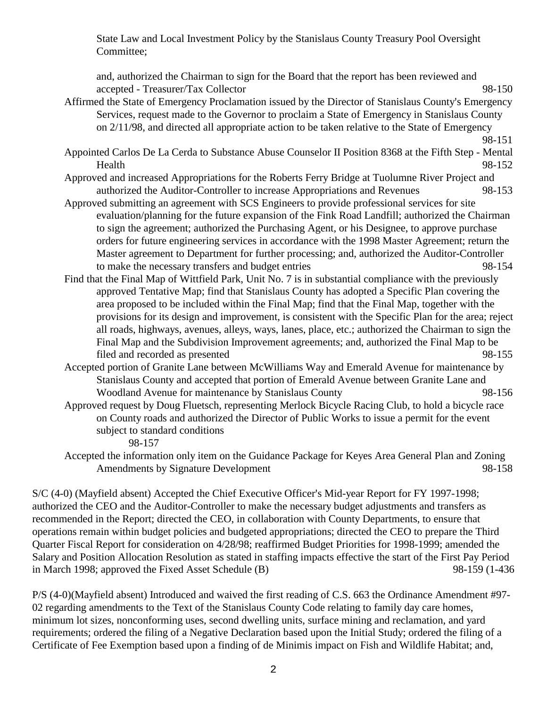State Law and Local Investment Policy by the Stanislaus County Treasury Pool Oversight Committee;

and, authorized the Chairman to sign for the Board that the report has been reviewed and accepted - Treasurer/Tax Collector 98-150

- Affirmed the State of Emergency Proclamation issued by the Director of Stanislaus County's Emergency Services, request made to the Governor to proclaim a State of Emergency in Stanislaus County on 2/11/98, and directed all appropriate action to be taken relative to the State of Emergency
	- 98-151
- Appointed Carlos De La Cerda to Substance Abuse Counselor II Position 8368 at the Fifth Step Mental Health 98-152
- Approved and increased Appropriations for the Roberts Ferry Bridge at Tuolumne River Project and authorized the Auditor-Controller to increase Appropriations and Revenues 98-153
- Approved submitting an agreement with SCS Engineers to provide professional services for site evaluation/planning for the future expansion of the Fink Road Landfill; authorized the Chairman to sign the agreement; authorized the Purchasing Agent, or his Designee, to approve purchase orders for future engineering services in accordance with the 1998 Master Agreement; return the Master agreement to Department for further processing; and, authorized the Auditor-Controller to make the necessary transfers and budget entries 98-154
- Find that the Final Map of Wittfield Park, Unit No. 7 is in substantial compliance with the previously approved Tentative Map; find that Stanislaus County has adopted a Specific Plan covering the area proposed to be included within the Final Map; find that the Final Map, together with the provisions for its design and improvement, is consistent with the Specific Plan for the area; reject all roads, highways, avenues, alleys, ways, lanes, place, etc.; authorized the Chairman to sign the Final Map and the Subdivision Improvement agreements; and, authorized the Final Map to be filed and recorded as presented 98-155
- Accepted portion of Granite Lane between McWilliams Way and Emerald Avenue for maintenance by Stanislaus County and accepted that portion of Emerald Avenue between Granite Lane and Woodland Avenue for maintenance by Stanislaus County 98-156
- Approved request by Doug Fluetsch, representing Merlock Bicycle Racing Club, to hold a bicycle race on County roads and authorized the Director of Public Works to issue a permit for the event subject to standard conditions

98-157

Accepted the information only item on the Guidance Package for Keyes Area General Plan and Zoning Amendments by Signature Development 98-158

S/C (4-0) (Mayfield absent) Accepted the Chief Executive Officer's Mid-year Report for FY 1997-1998; authorized the CEO and the Auditor-Controller to make the necessary budget adjustments and transfers as recommended in the Report; directed the CEO, in collaboration with County Departments, to ensure that operations remain within budget policies and budgeted appropriations; directed the CEO to prepare the Third Quarter Fiscal Report for consideration on 4/28/98; reaffirmed Budget Priorities for 1998-1999; amended the Salary and Position Allocation Resolution as stated in staffing impacts effective the start of the First Pay Period in March 1998; approved the Fixed Asset Schedule (B) 98-159 (1-436

P/S (4-0)(Mayfield absent) Introduced and waived the first reading of C.S. 663 the Ordinance Amendment #97- 02 regarding amendments to the Text of the Stanislaus County Code relating to family day care homes, minimum lot sizes, nonconforming uses, second dwelling units, surface mining and reclamation, and yard requirements; ordered the filing of a Negative Declaration based upon the Initial Study; ordered the filing of a Certificate of Fee Exemption based upon a finding of de Minimis impact on Fish and Wildlife Habitat; and,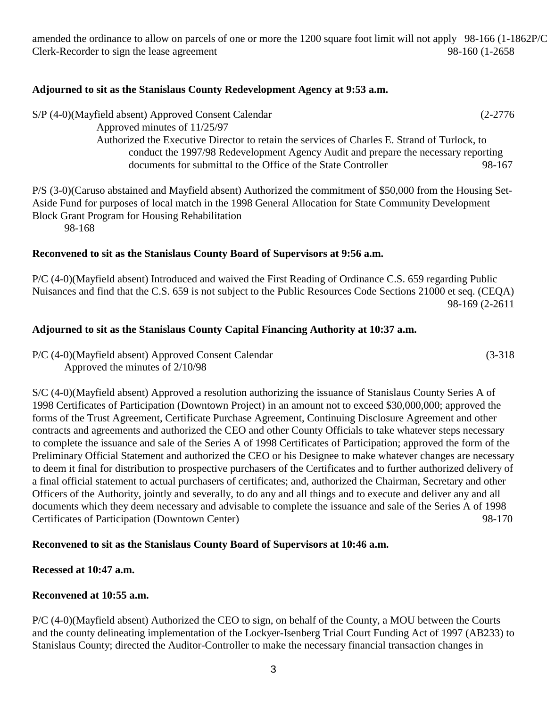amended the ordinance to allow on parcels of one or more the 1200 square foot limit will not apply 98-166 (1-1862P/C Clerk-Recorder to sign the lease agreement 98-160 (1-2658

#### **Adjourned to sit as the Stanislaus County Redevelopment Agency at 9:53 a.m.**

S/P (4-0)(Mayfield absent) Approved Consent Calendar (2-2776 Approved minutes of 11/25/97 Authorized the Executive Director to retain the services of Charles E. Strand of Turlock, to conduct the 1997/98 Redevelopment Agency Audit and prepare the necessary reporting documents for submittal to the Office of the State Controller 98-167

P/S (3-0)(Caruso abstained and Mayfield absent) Authorized the commitment of \$50,000 from the Housing Set-Aside Fund for purposes of local match in the 1998 General Allocation for State Community Development Block Grant Program for Housing Rehabilitation 98-168

#### **Reconvened to sit as the Stanislaus County Board of Supervisors at 9:56 a.m.**

P/C (4-0)(Mayfield absent) Introduced and waived the First Reading of Ordinance C.S. 659 regarding Public Nuisances and find that the C.S. 659 is not subject to the Public Resources Code Sections 21000 et seq. (CEQA) 98-169 (2-2611

#### **Adjourned to sit as the Stanislaus County Capital Financing Authority at 10:37 a.m.**

P/C (4-0)(Mayfield absent) Approved Consent Calendar (3-318 Approved the minutes of 2/10/98

S/C (4-0)(Mayfield absent) Approved a resolution authorizing the issuance of Stanislaus County Series A of 1998 Certificates of Participation (Downtown Project) in an amount not to exceed \$30,000,000; approved the forms of the Trust Agreement, Certificate Purchase Agreement, Continuing Disclosure Agreement and other contracts and agreements and authorized the CEO and other County Officials to take whatever steps necessary to complete the issuance and sale of the Series A of 1998 Certificates of Participation; approved the form of the Preliminary Official Statement and authorized the CEO or his Designee to make whatever changes are necessary to deem it final for distribution to prospective purchasers of the Certificates and to further authorized delivery of a final official statement to actual purchasers of certificates; and, authorized the Chairman, Secretary and other Officers of the Authority, jointly and severally, to do any and all things and to execute and deliver any and all documents which they deem necessary and advisable to complete the issuance and sale of the Series A of 1998 Certificates of Participation (Downtown Center) 98-170

## **Reconvened to sit as the Stanislaus County Board of Supervisors at 10:46 a.m.**

## **Recessed at 10:47 a.m.**

## **Reconvened at 10:55 a.m.**

P/C (4-0)(Mayfield absent) Authorized the CEO to sign, on behalf of the County, a MOU between the Courts and the county delineating implementation of the Lockyer-Isenberg Trial Court Funding Act of 1997 (AB233) to Stanislaus County; directed the Auditor-Controller to make the necessary financial transaction changes in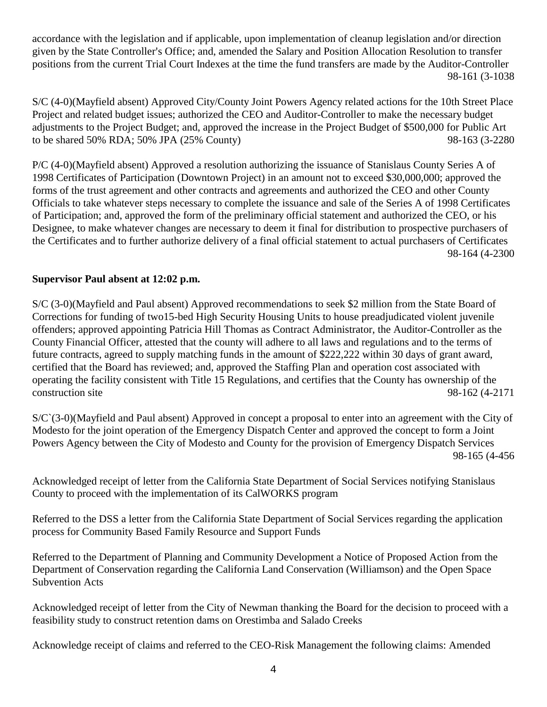accordance with the legislation and if applicable, upon implementation of cleanup legislation and/or direction given by the State Controller's Office; and, amended the Salary and Position Allocation Resolution to transfer positions from the current Trial Court Indexes at the time the fund transfers are made by the Auditor-Controller 98-161 (3-1038

S/C (4-0)(Mayfield absent) Approved City/County Joint Powers Agency related actions for the 10th Street Place Project and related budget issues; authorized the CEO and Auditor-Controller to make the necessary budget adjustments to the Project Budget; and, approved the increase in the Project Budget of \$500,000 for Public Art to be shared 50% RDA; 50% JPA (25% County) 98-163 (3-2280

P/C (4-0)(Mayfield absent) Approved a resolution authorizing the issuance of Stanislaus County Series A of 1998 Certificates of Participation (Downtown Project) in an amount not to exceed \$30,000,000; approved the forms of the trust agreement and other contracts and agreements and authorized the CEO and other County Officials to take whatever steps necessary to complete the issuance and sale of the Series A of 1998 Certificates of Participation; and, approved the form of the preliminary official statement and authorized the CEO, or his Designee, to make whatever changes are necessary to deem it final for distribution to prospective purchasers of the Certificates and to further authorize delivery of a final official statement to actual purchasers of Certificates 98-164 (4-2300

# **Supervisor Paul absent at 12:02 p.m.**

S/C (3-0)(Mayfield and Paul absent) Approved recommendations to seek \$2 million from the State Board of Corrections for funding of two15-bed High Security Housing Units to house preadjudicated violent juvenile offenders; approved appointing Patricia Hill Thomas as Contract Administrator, the Auditor-Controller as the County Financial Officer, attested that the county will adhere to all laws and regulations and to the terms of future contracts, agreed to supply matching funds in the amount of \$222,222 within 30 days of grant award, certified that the Board has reviewed; and, approved the Staffing Plan and operation cost associated with operating the facility consistent with Title 15 Regulations, and certifies that the County has ownership of the construction site 98-162 (4-2171

S/C`(3-0)(Mayfield and Paul absent) Approved in concept a proposal to enter into an agreement with the City of Modesto for the joint operation of the Emergency Dispatch Center and approved the concept to form a Joint Powers Agency between the City of Modesto and County for the provision of Emergency Dispatch Services 98-165 (4-456

Acknowledged receipt of letter from the California State Department of Social Services notifying Stanislaus County to proceed with the implementation of its CalWORKS program

Referred to the DSS a letter from the California State Department of Social Services regarding the application process for Community Based Family Resource and Support Funds

Referred to the Department of Planning and Community Development a Notice of Proposed Action from the Department of Conservation regarding the California Land Conservation (Williamson) and the Open Space Subvention Acts

Acknowledged receipt of letter from the City of Newman thanking the Board for the decision to proceed with a feasibility study to construct retention dams on Orestimba and Salado Creeks

Acknowledge receipt of claims and referred to the CEO-Risk Management the following claims: Amended